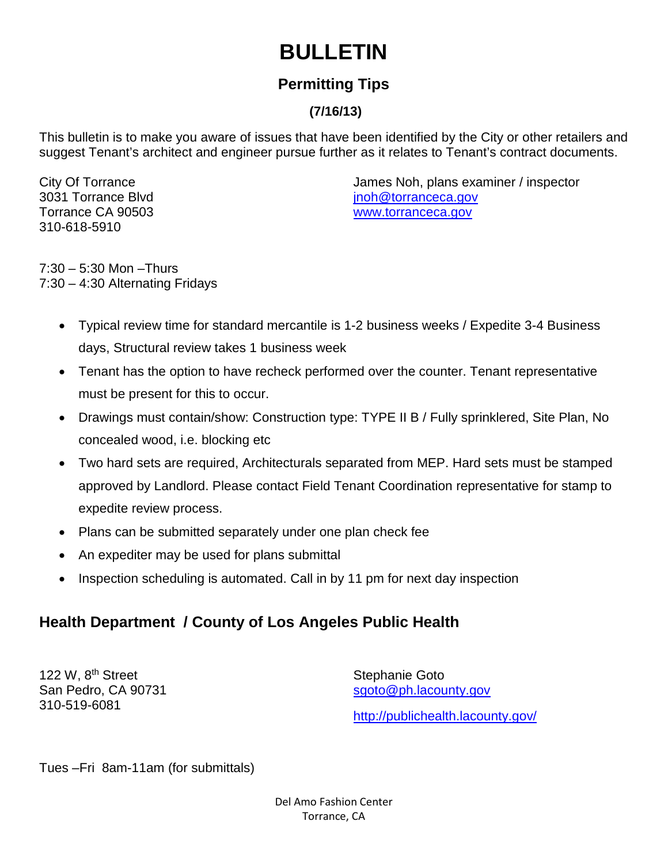## **BULLETIN**

## **Permitting Tips**

## **(7/16/13)**

This bulletin is to make you aware of issues that have been identified by the City or other retailers and suggest Tenant's architect and engineer pursue further as it relates to Tenant's contract documents.

City Of Torrance 3031 Torrance Blvd Torrance CA 90503 310-618-5910

James Noh, plans examiner / inspector [jnoh@torranceca.gov](mailto:jnoh@torranceca.gov) www.torranceca.gov

7:30 – 5:30 Mon –Thurs 7:30 – 4:30 Alternating Fridays

- Typical review time for standard mercantile is 1-2 business weeks / Expedite 3-4 Business days, Structural review takes 1 business week
- Tenant has the option to have recheck performed over the counter. Tenant representative must be present for this to occur.
- Drawings must contain/show: Construction type: TYPE II B / Fully sprinklered, Site Plan, No concealed wood, i.e. blocking etc
- Two hard sets are required, Architecturals separated from MEP. Hard sets must be stamped approved by Landlord. Please contact Field Tenant Coordination representative for stamp to expedite review process.
- Plans can be submitted separately under one plan check fee
- An expediter may be used for plans submittal
- Inspection scheduling is automated. Call in by 11 pm for next day inspection

## **Health Department / County of Los Angeles Public Health**

122 W, 8th Street San Pedro, CA 90731 310-519-6081

Stephanie Goto [sgoto@ph.lacounty.gov](mailto:sgoto@ph.lacounty.gov) <http://publichealth.lacounty.gov/>

Tues –Fri 8am-11am (for submittals)